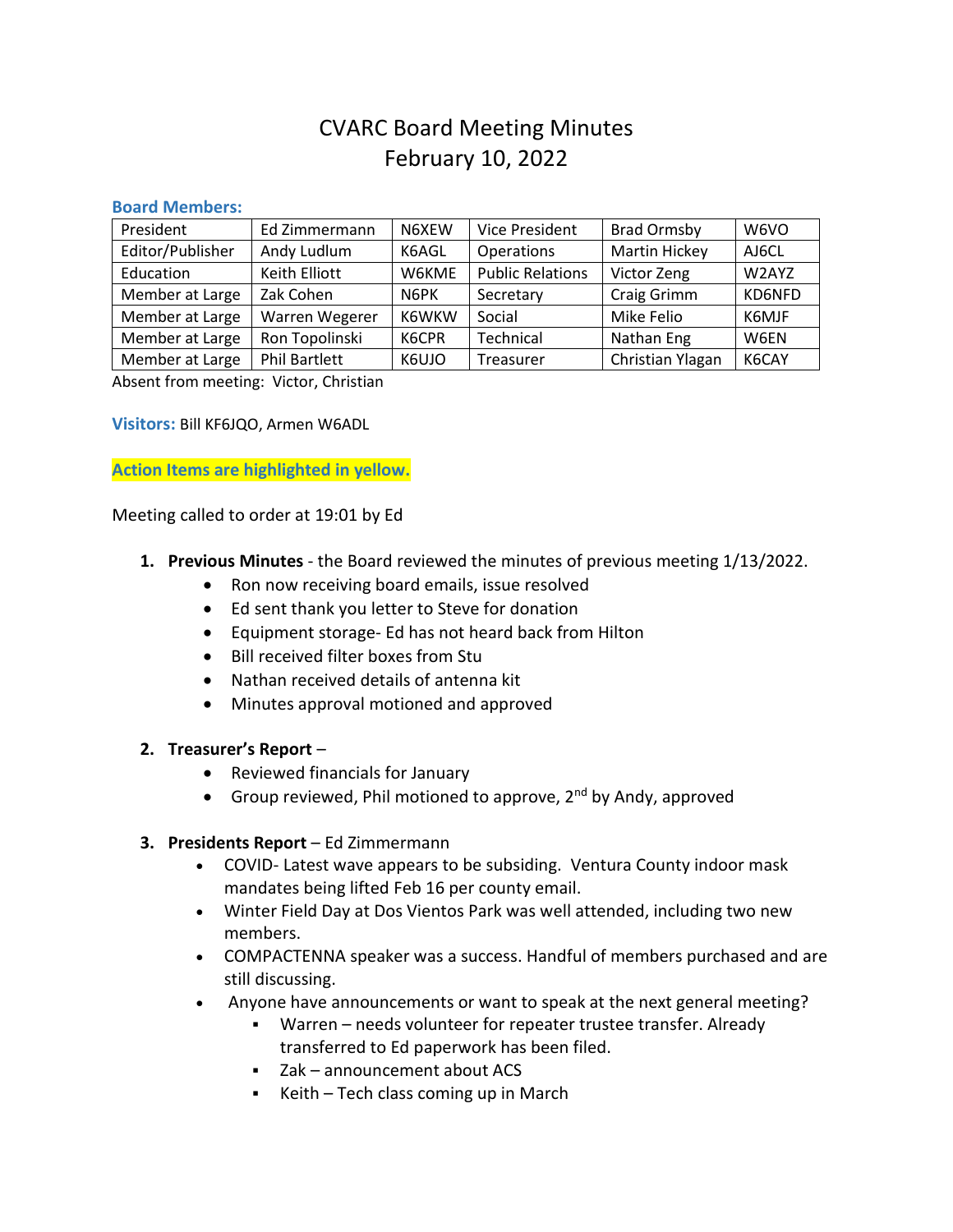# CVARC Board Meeting Minutes February 10, 2022

#### **Board Members:**

| President        | Ed Zimmermann        | N6XEW | <b>Vice President</b>   | <b>Brad Ormsby</b>   | W6VO        |
|------------------|----------------------|-------|-------------------------|----------------------|-------------|
| Editor/Publisher | Andy Ludlum          | K6AGL | Operations              | <b>Martin Hickey</b> | AJ6CL       |
| Education        | Keith Elliott        | W6KME | <b>Public Relations</b> | Victor Zeng          | W2AYZ       |
| Member at Large  | Zak Cohen            | N6PK  | Secretary               | Craig Grimm          | KD6NFD      |
| Member at Large  | Warren Wegerer       | K6WKW | Social                  | Mike Felio           | K6MJF       |
| Member at Large  | Ron Topolinski       | K6CPR | Technical               | Nathan Eng           | <b>W6FN</b> |
| Member at Large  | <b>Phil Bartlett</b> | K6UJO | Treasurer               | Christian Ylagan     | K6CAY       |

Absent from meeting: Victor, Christian

**Visitors:** Bill KF6JQO, Armen W6ADL

**Action Items are highlighted in yellow.**

Meeting called to order at 19:01 by Ed

- **1. Previous Minutes** the Board reviewed the minutes of previous meeting 1/13/2022.
	- Ron now receiving board emails, issue resolved
	- Ed sent thank you letter to Steve for donation
	- Equipment storage- Ed has not heard back from Hilton
	- Bill received filter boxes from Stu
	- Nathan received details of antenna kit
	- Minutes approval motioned and approved

#### **2. Treasurer's Report** –

- Reviewed financials for January
- Group reviewed, Phil motioned to approve,  $2^{nd}$  by Andy, approved

#### **3. Presidents Report** – Ed Zimmermann

- COVID- Latest wave appears to be subsiding. Ventura County indoor mask mandates being lifted Feb 16 per county email.
- Winter Field Day at Dos Vientos Park was well attended, including two new members.
- COMPACTENNA speaker was a success. Handful of members purchased and are still discussing.
- Anyone have announcements or want to speak at the next general meeting?
	- Warren needs volunteer for repeater trustee transfer. Already transferred to Ed paperwork has been filed.
	- Zak announcement about ACS
	- Keith Tech class coming up in March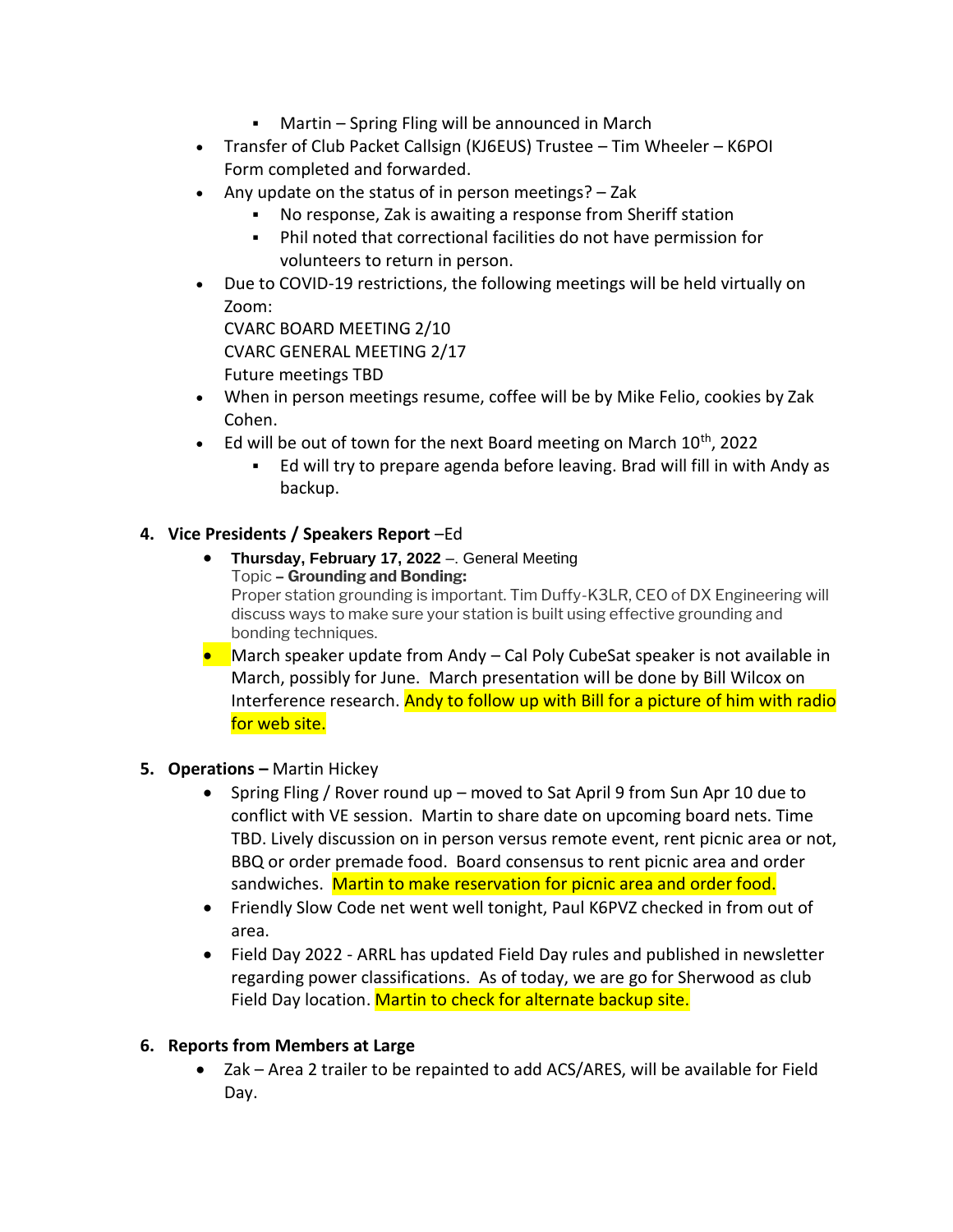- Martin Spring Fling will be announced in March
- Transfer of Club Packet Callsign (KJ6EUS) Trustee Tim Wheeler K6POI Form completed and forwarded.
- Any update on the status of in person meetings? Zak
	- No response, Zak is awaiting a response from Sheriff station
	- Phil noted that correctional facilities do not have permission for volunteers to return in person.
- Due to COVID-19 restrictions, the following meetings will be held virtually on Zoom:

CVARC BOARD MEETING 2/10 CVARC GENERAL MEETING 2/17 Future meetings TBD

- When in person meetings resume, coffee will be by Mike Felio, cookies by Zak Cohen.
- Ed will be out of town for the next Board meeting on March  $10^{th}$ , 2022
	- Ed will try to prepare agenda before leaving. Brad will fill in with Andy as backup.

# **4. Vice Presidents / Speakers Report** –Ed

- **Thursday, February 17, 2022** –. General Meeting Topic **– Grounding and Bonding:** Proper station grounding is important. Tim Duffy-K3LR, CEO of DX Engineering will discuss ways to make sure your station is built using effective grounding and bonding techniques.
- March speaker update from Andy Cal Poly CubeSat speaker is not available in March, possibly for June. March presentation will be done by Bill Wilcox on Interference research. Andy to follow up with Bill for a picture of him with radio for web site.

# **5. Operations –** Martin Hickey

- Spring Fling / Rover round up moved to Sat April 9 from Sun Apr 10 due to conflict with VE session. Martin to share date on upcoming board nets. Time TBD. Lively discussion on in person versus remote event, rent picnic area or not, BBQ or order premade food. Board consensus to rent picnic area and order sandwiches. Martin to make reservation for picnic area and order food.
- Friendly Slow Code net went well tonight, Paul K6PVZ checked in from out of area.
- Field Day 2022 ARRL has updated Field Day rules and published in newsletter regarding power classifications. As of today, we are go for Sherwood as club Field Day location. Martin to check for alternate backup site.

# **6. Reports from Members at Large**

• Zak – Area 2 trailer to be repainted to add ACS/ARES, will be available for Field Day.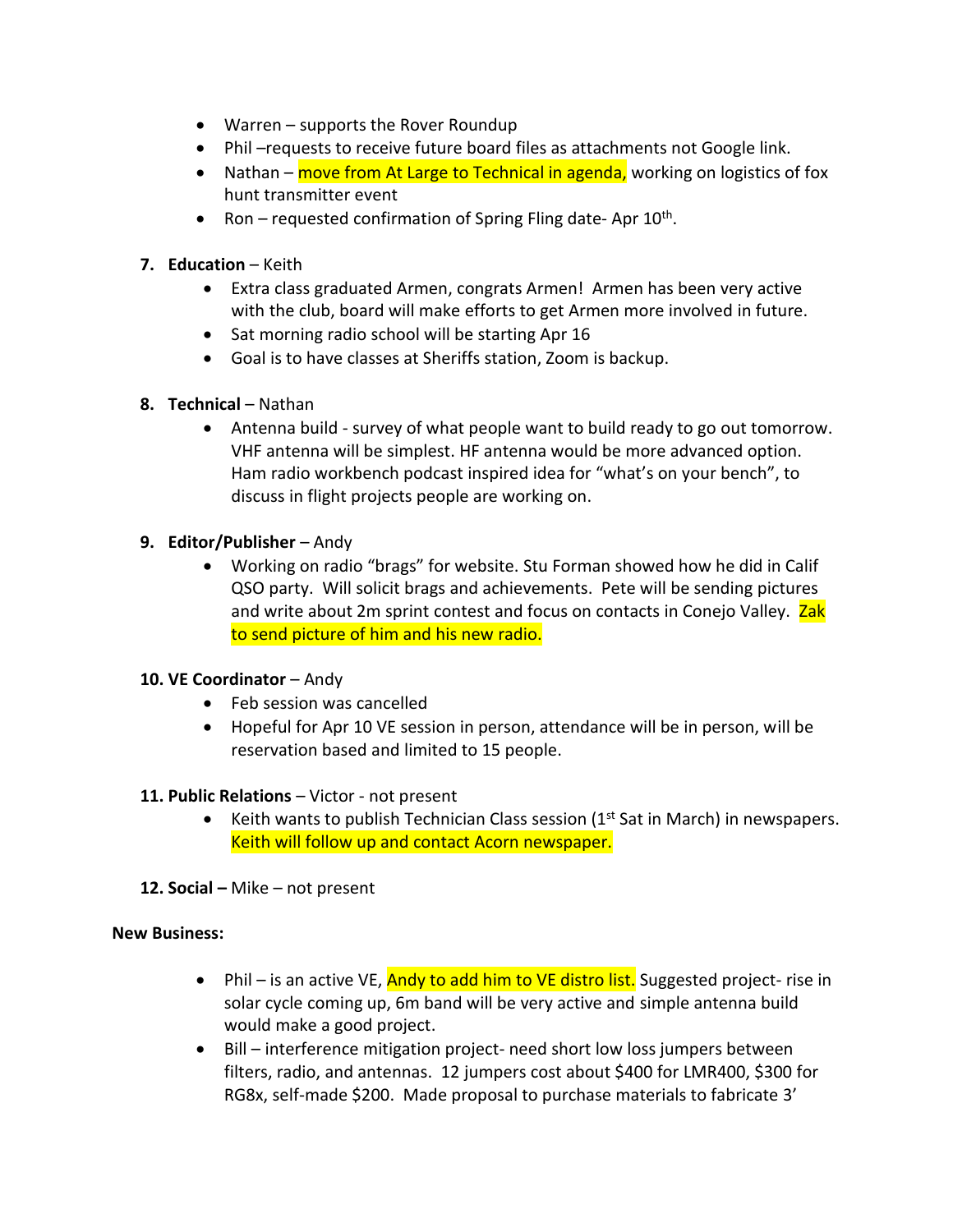- Warren supports the Rover Roundup
- Phil –requests to receive future board files as attachments not Google link.
- Nathan move from At Large to Technical in agenda, working on logistics of fox hunt transmitter event
- Ron requested confirmation of Spring Fling date-Apr 10<sup>th</sup>.

### **7. Education** – Keith

- Extra class graduated Armen, congrats Armen! Armen has been very active with the club, board will make efforts to get Armen more involved in future.
- Sat morning radio school will be starting Apr 16
- Goal is to have classes at Sheriffs station, Zoom is backup.
- **8. Technical** Nathan
	- Antenna build survey of what people want to build ready to go out tomorrow. VHF antenna will be simplest. HF antenna would be more advanced option. Ham radio workbench podcast inspired idea for "what's on your bench", to discuss in flight projects people are working on.

#### **9. Editor/Publisher** – Andy

• Working on radio "brags" for website. Stu Forman showed how he did in Calif QSO party. Will solicit brags and achievements. Pete will be sending pictures and write about 2m sprint contest and focus on contacts in Conejo Valley. Zak to send picture of him and his new radio.

# **10. VE Coordinator** – Andy

- Feb session was cancelled
- Hopeful for Apr 10 VE session in person, attendance will be in person, will be reservation based and limited to 15 people.

# **11. Public Relations** – Victor - not present

- Keith wants to publish Technician Class session  $(1<sup>st</sup> Sat$  in March) in newspapers. Keith will follow up and contact Acorn newspaper.
- **12. Social –** Mike not present

#### **New Business:**

- Phil is an active VE, Andy to add him to VE distro list. Suggested project- rise in solar cycle coming up, 6m band will be very active and simple antenna build would make a good project.
- Bill interference mitigation project- need short low loss jumpers between filters, radio, and antennas. 12 jumpers cost about \$400 for LMR400, \$300 for RG8x, self-made \$200. Made proposal to purchase materials to fabricate 3'